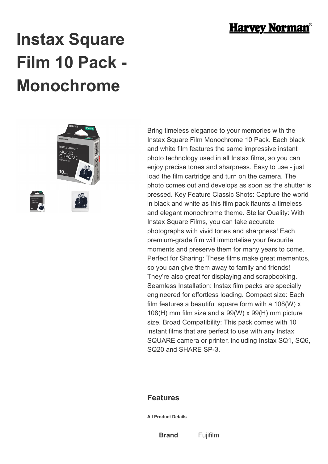

## **Instax Square Film 10 Pack - Monochrome**



Bring timeless elegance to your memories with the Instax Square Film Monochrome 10 Pack. Each black and white film features the same impressive instant photo technology used in all Instax films, so you can enjoy precise tones and sharpness. Easy to use - just load the film cartridge and turn on the camera. The photo comes out and develops as soon as the shutter is pressed. Key Feature Classic Shots: Capture the world in black and white as this film pack flaunts a timeless and elegant monochrome theme. Stellar Quality: With Instax Square Films, you can take accurate photographs with vivid tones and sharpness! Each premium-grade film will immortalise your favourite moments and preserve them for many years to come. Perfect for Sharing: These films make great mementos, so you can give them away to family and friends! They're also great for displaying and scrapbooking. Seamless Installation: Instax film packs are specially engineered for effortless loading. Compact size: Each film features a beautiful square form with a 108(W) x 108(H) mm film size and a 99(W) x 99(H) mm picture size. Broad Compatibility: This pack comes with 10 instant films that are perfect to use with any Instax SQUARE camera or printer, including Instax SQ1, SQ6, SQ20 and SHARE SP-3.

## **Features**

**All Product Details**

**Brand** Fujifilm